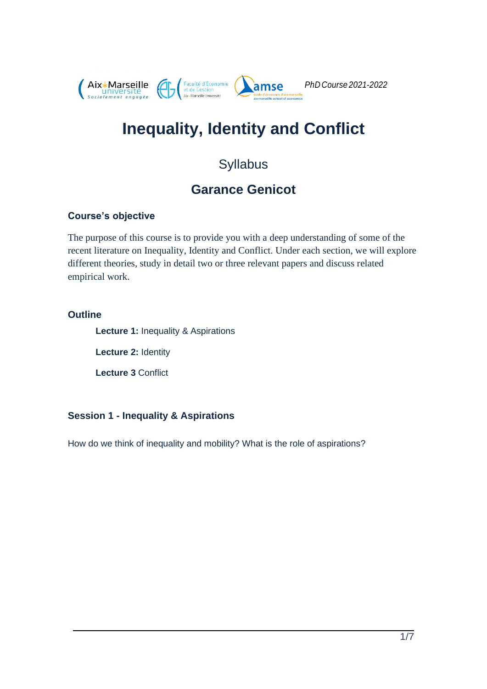

# **Inequality, Identity and Conflict**

# Syllabus

# **Garance Genicot**

#### **Course's objective**

The purpose of this course is to provide you with a deep understanding of some of the recent literature on Inequality, Identity and Conflict. Under each section, we will explore different theories, study in detail two or three relevant papers and discuss related empirical work.

#### **Outline**

**Lecture 1:** Inequality & Aspirations

**Lecture 2:** Identity

**Lecture 3** Conflict

#### **Session 1 - Inequality & Aspirations**

How do we think of inequality and mobility? What is the role of aspirations?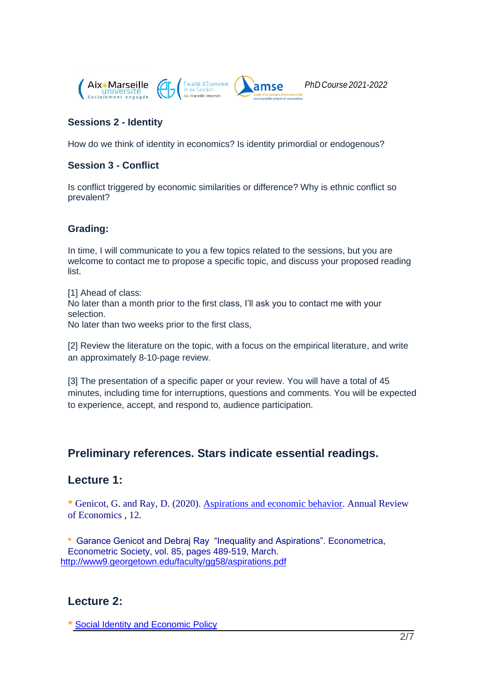

#### **Sessions 2 - Identity**

How do we think of identity in economics? Is identity primordial or endogenous?

#### **Session 3 - Conflict**

Is conflict triggered by economic similarities or difference? Why is ethnic conflict so prevalent?

#### **Grading:**

In time, I will communicate to you a few topics related to the sessions, but you are welcome to contact me to propose a specific topic, and discuss your proposed reading list.

[1] Ahead of class: No later than a month prior to the first class, I'll ask you to contact me with your selection.

No later than two weeks prior to the first class,

[2] Review the literature on the topic, with a focus on the empirical literature, and write an approximately 8-10-page review.

[3] The presentation of a specific paper or your review. You will have a total of 45 minutes, including time for interruptions, questions and comments. You will be expected to experience, accept, and respond to, audience participation.

# **Preliminary references. Stars indicate essential readings.**

### **Lecture 1:**

**\*** Genicot, G. and Ray, D. (2020). [Aspirations and economic behavior.](https://georgetown.app.box.com/s/lkhhdyke2ihsy98u6seelds0w4d7eq6i) Annual Review of Economics , 12.

**\*** Garance Genicot and Debraj Ray "Inequality and Aspirations". [Econometrica,](https://ideas.repec.org/s/wly/emetrp.html) Econometric Society, vol. 85, pages 489-519, March. <http://www9.georgetown.edu/faculty/gg58/aspirations.pdf>

# **Lecture 2:**

**\*** [Social Identity and Economic Policy](https://www.annualreviews.org/doi/abs/10.1146/annurev-economics-082019-110313)